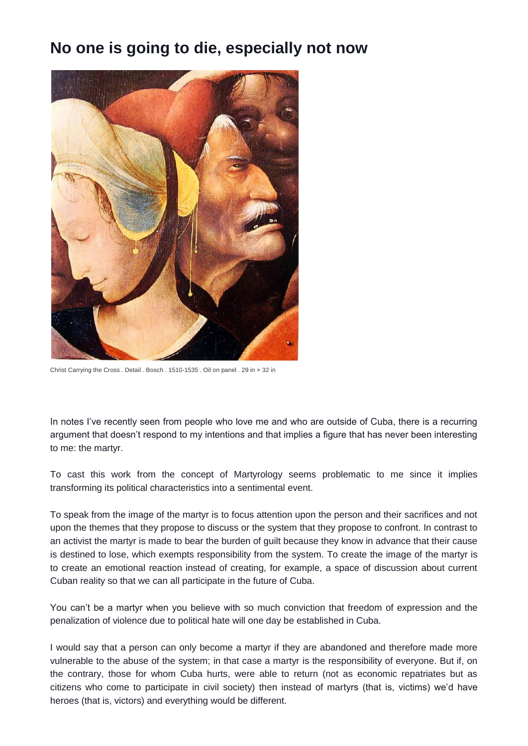## **No one is going to die, especially not now**



Christ Carrying the Cross . Detail . Bosch . 1510-1535 . Oil on panel . 29 in × 32 in

In notes I've recently seen from people who love me and who are outside of Cuba, there is a recurring argument that doesn't respond to my intentions and that implies a figure that has never been interesting to me: the martyr.

To cast this work from the concept of Martyrology seems problematic to me since it implies transforming its political characteristics into a sentimental event.

To speak from the image of the martyr is to focus attention upon the person and their sacrifices and not upon the themes that they propose to discuss or the system that they propose to confront. In contrast to an activist the martyr is made to bear the burden of guilt because they know in advance that their cause is destined to lose, which exempts responsibility from the system. To create the image of the martyr is to create an emotional reaction instead of creating, for example, a space of discussion about current Cuban reality so that we can all participate in the future of Cuba.

You can't be a martyr when you believe with so much conviction that freedom of expression and the penalization of violence due to political hate will one day be established in Cuba.

I would say that a person can only become a martyr if they are abandoned and therefore made more vulnerable to the abuse of the system; in that case a martyr is the responsibility of everyone. But if, on the contrary, those for whom Cuba hurts, were able to return (not as economic repatriates but as citizens who come to participate in civil society) then instead of martyrs (that is, victims) we'd have heroes (that is, victors) and everything would be different.